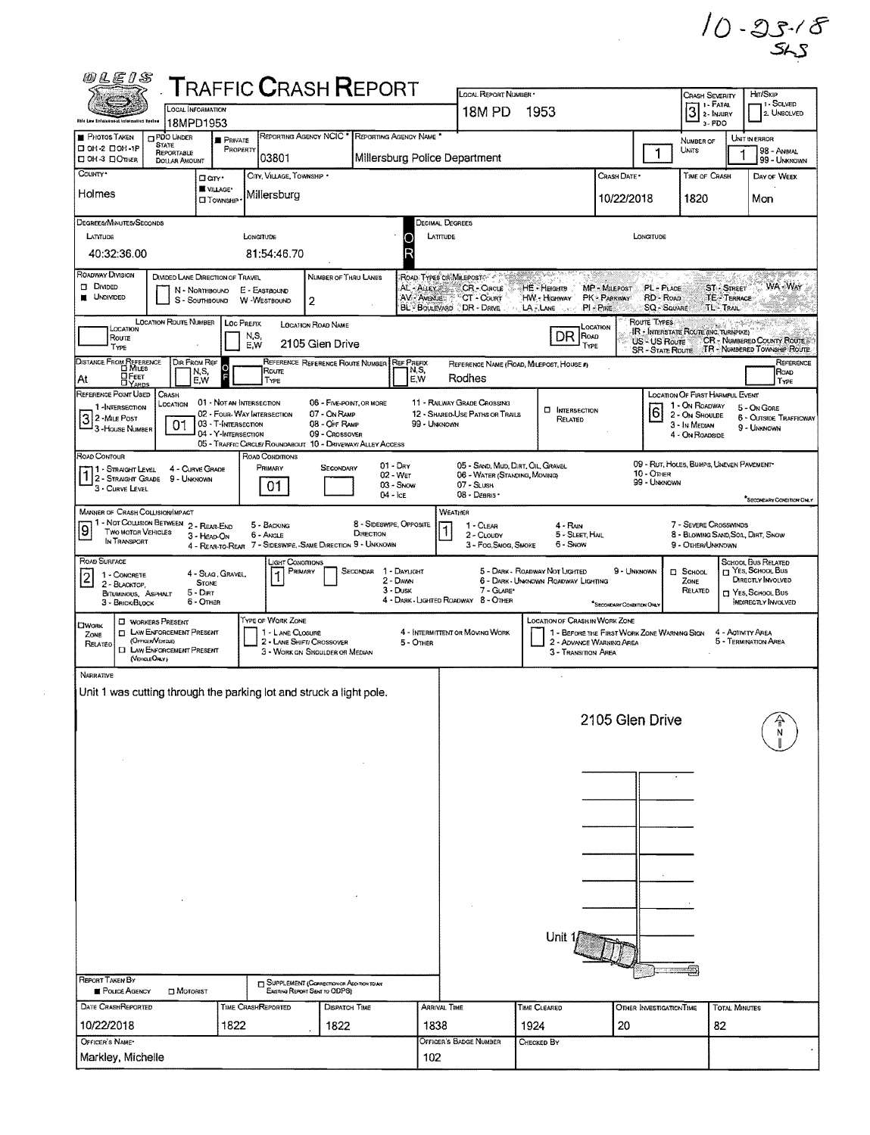$10 - 25.78$ 

 $\mathcal{L}_{\mathcal{L}}$ 

|                                                                                          | LOCAL INFORMATION                                                                         |                                            |                                                                                | <b>TRAFFIC CRASH REPORT</b>                                               |                                      |                                  | LOCAL REPORT NUMBER *<br>18M PD                                    | 1953                                     |                                                                         |                            | <b>CRASH SEVERITY</b><br>3                                  |                                  | Hm/Skip<br>1 - SOLVED                                                                      |
|------------------------------------------------------------------------------------------|-------------------------------------------------------------------------------------------|--------------------------------------------|--------------------------------------------------------------------------------|---------------------------------------------------------------------------|--------------------------------------|----------------------------------|--------------------------------------------------------------------|------------------------------------------|-------------------------------------------------------------------------|----------------------------|-------------------------------------------------------------|----------------------------------|--------------------------------------------------------------------------------------------|
| <b>Chin Law Sciences and Information System</b>                                          | 18MPD1953                                                                                 |                                            |                                                                                |                                                                           |                                      |                                  |                                                                    |                                          |                                                                         |                            | $3 - PDO$                                                   |                                  | 2. UNSOLVED                                                                                |
| <b>PHOTOS TAKEN</b><br>$\Box$ OH-2 $\Box$ OH-IP                                          | PDO UNDER<br><b>STATE</b>                                                                 | <b>PRIVATE</b><br>PROPERTY                 |                                                                                | <b>REPORTING AGENCY NCIC'</b>                                             |                                      | REPORTING AGENCY NAME            |                                                                    |                                          |                                                                         |                            | NUMBER OF                                                   |                                  | UNIT IN ERROR                                                                              |
| <b>DOH-3 DOTHER</b>                                                                      | <b>REPORTABLE</b><br>DOLLAR AMOUNT                                                        |                                            | 03801                                                                          |                                                                           |                                      |                                  | Millersburg Police Department                                      |                                          |                                                                         | $\mathbf 1$                | Units                                                       |                                  | 98 - Animal<br>99 - UNKNOWN                                                                |
| COUNTY*                                                                                  |                                                                                           | Darr.                                      | CITY, VILLAGE, TOWNSHIP *                                                      |                                                                           |                                      |                                  |                                                                    |                                          | CRASH DATE *                                                            |                            | TIME OF CRASH                                               |                                  | DAY OF WEEK                                                                                |
| Holmes                                                                                   |                                                                                           | <b>WE VILLAGE*</b><br><b>CI</b> TOWNSHIP   | Millersburg                                                                    |                                                                           |                                      |                                  |                                                                    |                                          | 10/22/2018                                                              |                            | 1820                                                        |                                  | Mon                                                                                        |
| DEGREES/MINUTES/SECONDS                                                                  |                                                                                           |                                            |                                                                                |                                                                           |                                      |                                  | <b>DECIMAL DEGREES</b>                                             |                                          |                                                                         |                            |                                                             |                                  |                                                                                            |
| LATITUDE                                                                                 |                                                                                           |                                            | LONGITUDE                                                                      |                                                                           |                                      | LATITUDE<br>О                    |                                                                    |                                          |                                                                         | LONGITUDE                  |                                                             |                                  |                                                                                            |
| 40:32:36.00                                                                              |                                                                                           |                                            | 81:54:46.70                                                                    |                                                                           |                                      | R                                |                                                                    |                                          |                                                                         |                            |                                                             |                                  |                                                                                            |
| ROADWAY DIVISION                                                                         | DIVIDED LANE DIRECTION OF TRAVEL                                                          |                                            |                                                                                | NUMBER OF THRU LANES                                                      |                                      |                                  | ROAD TYPES CRIMILEPOSTS                                            | じゅうしゅう                                   |                                                                         |                            |                                                             |                                  |                                                                                            |
| <b>DIVIDED</b><br><b>UNDIVIDED</b>                                                       | N - NORTHBOUND<br>S - SOUTHBOUND                                                          |                                            | E - EASTBOUND<br>W -WESTBOUND                                                  | 2                                                                         |                                      |                                  | AL - ALLEY & CR - CIRCLE<br>AV - AVENUES <sup>5</sup> CT - COURT   | HE - HEIGHTS<br>HW - Highway             | MP - MILEPOST<br>PK - PARKWAY                                           | PL - PLACE<br>RD - ROAD    |                                                             | <b>ST-STREET</b><br>TE - TERRACE | <b>WA-WAY</b>                                                                              |
|                                                                                          | <b>LOCATION ROUTE NUMBER</b>                                                              | LOC PREFIX                                 |                                                                                |                                                                           |                                      |                                  | BL BOULEVARD DR - DRIVE                                            | LA FLANE TO A ST                         | $PI - P_{IRE}$                                                          | SQ - SQUARE<br>Route Types |                                                             | <b>TL-TRAIL</b>                  | in <del>An Come</del>                                                                      |
| LOCATION<br>Route                                                                        |                                                                                           |                                            | N, S,                                                                          | <b>LOCATION ROAD NAME</b>                                                 |                                      |                                  |                                                                    | DR.                                      | LOCATION<br>ROAD                                                        | US - US Route              | IR - INTERSTATE ROUTE (INC. TURNPIKE)                       |                                  | CR - NUMBERED COUNTY ROUTE                                                                 |
| TYPE                                                                                     |                                                                                           |                                            | E,W                                                                            | 2105 Gien Drive                                                           |                                      |                                  |                                                                    |                                          | TYPE                                                                    | <b>SR - STATE ROUTE</b>    |                                                             |                                  | TR - NUMBERED TOWNSHIP ROUTE                                                               |
| DISTANCE FROM REFERENCE<br><b>DEEET</b><br>At                                            | DIR FROM REF<br>N,S,<br>E,W                                                               | Ю<br>F                                     | Roure<br>TYPE                                                                  | REFERENCE REFERENCE ROUTE NUMBER                                          |                                      | <b>REF PREFIX</b><br>IN,S,<br>EW | Rodhes                                                             | REFERENCE NAME (ROAD, MILEPOST, HOUSE #) |                                                                         |                            |                                                             |                                  |                                                                                            |
| REFERENCE POINT USED                                                                     | CRASH                                                                                     |                                            |                                                                                |                                                                           |                                      |                                  |                                                                    |                                          |                                                                         |                            | LOCATION OF FIRST HARMFUL EVENT                             |                                  |                                                                                            |
| 1-INTERSECTION<br>32-MiLE Post                                                           | LOCATION                                                                                  | 01 - Not an Intersection                   | 02 - FOUR-WAY INTERSECTION                                                     | 06 - FIVE-POINT, OR MORE<br>07 - On RAMP                                  |                                      |                                  | 11 - RAILWAY GRADE CROSSING<br>12 - SHARED-USE PATHS OR TRAILS     | <b>CI INTERSECTION</b><br>RELATED        |                                                                         | 6                          | 1 - On ROADWAY<br>2 - On Shoulde                            |                                  | 5 - On GORE<br><b>6 - OUTSIDE TRAFFICWAY</b>                                               |
| <sup>1</sup> 3 - House Number                                                            | 01                                                                                        | 03 - T-INTERSECTION<br>04 - Y-INTERSECTION |                                                                                | 08 - OFF RAMP<br>09 - Crossover                                           |                                      | 99 - UNKNOWN                     |                                                                    |                                          |                                                                         |                            | 3 - In MEDIAN<br>4 - ON ROADSIDE                            |                                  | 9 - UNKNOWN                                                                                |
| ROAD CONTOUR                                                                             |                                                                                           |                                            | 05 - TRAFFIC CIRCLE/ ROUNDABOUT 10 - DRIVEWAY/ ALLEY ACCESS<br>ROAD CONDITIONS |                                                                           |                                      |                                  |                                                                    |                                          |                                                                         |                            |                                                             |                                  |                                                                                            |
| 11 - Straght Level<br>1 - STRAIGHT LEVEL 4 - CURVE CON<br>1 - STRAIGHT GRADE 9 - UNKNOWN | 4 - CURVE GRADE                                                                           |                                            | Primary                                                                        | SECONDARY                                                                 |                                      | $01 - \text{Day}$<br>02 - WET    | 05 - SAND, MUD, DIRT, OIL, GRAVEL<br>06 - WATER (STANDING, MOVING) |                                          |                                                                         | 10 - Oner                  | 09 - RUT, HOLES, BUMPS, UNEVEN PAVEMENT*                    |                                  |                                                                                            |
| 3 - CURVE LEVEL                                                                          |                                                                                           |                                            | 01                                                                             |                                                                           | $04 -$ ICE                           | 03 - Snow                        | $07 -$ SLUSH<br>08 - Deanis -                                      |                                          |                                                                         | 99 - Unknown               |                                                             |                                  |                                                                                            |
| MANNER OF CRASH COLLISION/IMPACT                                                         |                                                                                           |                                            |                                                                                |                                                                           |                                      |                                  | WEATHER                                                            |                                          |                                                                         |                            |                                                             |                                  | "SECONDARY CONDITION ONLY                                                                  |
| $\overline{9}$<br><b>TWO MOTOR VEHICLES</b>                                              | 1 - NOT COLLISION BETWEEN 2 - REAR-END                                                    | 3 - HEAD-ON                                | 5 - BACKING<br>$6 -$ Angle                                                     |                                                                           | 8 - SIDESWIPE, OPPOSITE<br>DIRECTION |                                  | 1 - CLEAR<br>2 - CLOUDY                                            | $4 - R_{AlN}$<br>5 - SLEET, HAIL         |                                                                         |                            | 7 - SEVERE CROSSWINDS<br>8 - BLOWING SAND, SOIL, DIRT, SNOW |                                  |                                                                                            |
| IN TRANSPORT                                                                             |                                                                                           |                                            | 4 - REAR-TO-REAR 7 - SIDESWIPE, -SAME DIRECTION 9 - UNKNOWN                    |                                                                           |                                      |                                  | 3 - Fog, Smog, Smoke                                               | 6 - Snow                                 |                                                                         |                            | 9 - OTHER/UNKNOWN                                           |                                  |                                                                                            |
| ROAD SURFACE<br>1 - CONCRETE                                                             |                                                                                           | 4 - SLAG, GRAVEL,                          | <b>LIGHT CONDITIONS</b>                                                        | PRIMARY                                                                   | SECONDAR 1 - DAYLIGHT                |                                  |                                                                    | 5 - DARK - ROADWAY NOT LIGHTED           | 9 - UNKNOWN                                                             |                            | $\Box$ School                                               |                                  | SCHOOL BUS RELATED<br>T YES, SCHOOL BUS                                                    |
| $\overline{\mathbf{c}}$<br>2 - BLACKTOP,                                                 |                                                                                           |                                            |                                                                                |                                                                           |                                      |                                  |                                                                    |                                          |                                                                         |                            |                                                             |                                  | DIRECTLY INVOLVED                                                                          |
|                                                                                          |                                                                                           | <b>STONE</b>                               |                                                                                |                                                                           |                                      | 2 - DAWN<br>3 Dusk               | 7 - GLARE*                                                         | 6 - DARK - UNKNOWN ROADWAY LIGHTING      |                                                                         |                            | ZONE<br>RELATED                                             |                                  |                                                                                            |
| <b>BITUMINOUS, ASPHALT</b><br>3 - BRICK/BLOCK                                            | $5 - DIRT$<br>6 - OTHER                                                                   |                                            |                                                                                |                                                                           |                                      |                                  | 4 - DARK - LIGHTED ROADWAY 8 - OTHER                               |                                          | "SECONDARY CONDITION ONLY                                               |                            |                                                             |                                  |                                                                                            |
| <b>CIWORK</b>                                                                            | <b>NORKERS PRESENT</b>                                                                    |                                            | <b>TYPE OF WORK ZONE</b>                                                       |                                                                           |                                      |                                  |                                                                    | <b>LOCATION OF CRASH IN WORK ZONE</b>    |                                                                         |                            |                                                             |                                  |                                                                                            |
| ZONE<br>RELATED                                                                          | <b>I LAW ENFORCEMENT PRESENT</b><br>(OFFICER/VEHICLE)<br><b>I LAW ENFORCEMENT PRESENT</b> |                                            | 1 - LANE CLOSURE                                                               | 2 - LANE SHIFT/ CROSSOVER                                                 |                                      | 5 - OTHER                        | 4 - INTERMITTENT OR MOVING WORK                                    |                                          | 1 - BEFORE THE FIRST WORK ZONE WARNING SIGN<br>2 - ADVANCE WARNING AREA |                            |                                                             |                                  | YES, SCHOOL BUS<br><b>INDIRECTLY INVOLVED</b><br>4 - ACTIVITY AREA<br>5 - TERMINATION AREA |
|                                                                                          | (VEHOLEOALY)                                                                              |                                            |                                                                                | 3 - WORK ON SHOULDER OR MEDIAN                                            |                                      |                                  |                                                                    | 3 - Transition Area                      |                                                                         |                            |                                                             |                                  |                                                                                            |
| <b>NARRATIVE</b>                                                                         |                                                                                           |                                            |                                                                                |                                                                           |                                      |                                  |                                                                    |                                          |                                                                         |                            |                                                             |                                  |                                                                                            |
| Unit 1 was cutting through the parking lot and struck a light pole.                      |                                                                                           |                                            |                                                                                |                                                                           |                                      |                                  |                                                                    |                                          |                                                                         |                            |                                                             |                                  |                                                                                            |
|                                                                                          |                                                                                           |                                            |                                                                                |                                                                           |                                      |                                  |                                                                    |                                          | 2105 Glen Drive                                                         |                            |                                                             |                                  |                                                                                            |
|                                                                                          |                                                                                           |                                            |                                                                                |                                                                           |                                      |                                  |                                                                    |                                          |                                                                         |                            |                                                             |                                  |                                                                                            |
|                                                                                          |                                                                                           |                                            |                                                                                |                                                                           |                                      |                                  |                                                                    |                                          |                                                                         |                            |                                                             |                                  |                                                                                            |
|                                                                                          |                                                                                           |                                            |                                                                                |                                                                           |                                      |                                  |                                                                    |                                          |                                                                         |                            |                                                             |                                  |                                                                                            |
|                                                                                          |                                                                                           |                                            |                                                                                |                                                                           |                                      |                                  |                                                                    |                                          |                                                                         |                            |                                                             |                                  |                                                                                            |
|                                                                                          |                                                                                           |                                            |                                                                                |                                                                           |                                      |                                  |                                                                    |                                          |                                                                         |                            |                                                             |                                  |                                                                                            |
|                                                                                          |                                                                                           |                                            |                                                                                |                                                                           |                                      |                                  |                                                                    |                                          |                                                                         |                            |                                                             |                                  |                                                                                            |
|                                                                                          |                                                                                           |                                            |                                                                                |                                                                           |                                      |                                  |                                                                    |                                          |                                                                         |                            |                                                             |                                  |                                                                                            |
|                                                                                          |                                                                                           |                                            |                                                                                |                                                                           |                                      |                                  |                                                                    |                                          |                                                                         |                            |                                                             |                                  |                                                                                            |
|                                                                                          |                                                                                           |                                            |                                                                                |                                                                           |                                      |                                  |                                                                    |                                          |                                                                         |                            |                                                             |                                  |                                                                                            |
|                                                                                          |                                                                                           |                                            |                                                                                |                                                                           |                                      |                                  |                                                                    |                                          |                                                                         |                            |                                                             |                                  |                                                                                            |
|                                                                                          |                                                                                           |                                            |                                                                                |                                                                           |                                      |                                  |                                                                    | Unit                                     |                                                                         |                            |                                                             |                                  |                                                                                            |
|                                                                                          |                                                                                           |                                            |                                                                                |                                                                           |                                      |                                  |                                                                    |                                          |                                                                         |                            |                                                             |                                  |                                                                                            |
|                                                                                          |                                                                                           |                                            |                                                                                |                                                                           |                                      |                                  |                                                                    |                                          |                                                                         |                            |                                                             |                                  |                                                                                            |
| <b>REPORT TAKEN BY</b><br><b>E</b> POLICE AGENCY                                         | <b>D</b> MOTORIST                                                                         |                                            |                                                                                | SUPPLEMENT (CORRECTION OR ADDITION TO AN<br>Existing Report Sent to ODPS) |                                      |                                  |                                                                    |                                          |                                                                         |                            |                                                             |                                  |                                                                                            |
| DATE CRASHREPORTED                                                                       |                                                                                           |                                            | TIME CRASHREPORTED                                                             | <b>DISPATCH TIME</b>                                                      |                                      | ARRIVAL TIME                     |                                                                    | TIME CLEARED                             |                                                                         | OTHER INVESTIGATION TIME   |                                                             | <b>TOTAL MINUTES</b>             |                                                                                            |
| 10/22/2018<br>OFFICER'S NAME*                                                            |                                                                                           | 1822                                       |                                                                                | 1822                                                                      |                                      | 1838                             | <b>OFFICER'S BADGE NUMBER</b>                                      | 1924<br>CHECKED BY                       | 20                                                                      |                            |                                                             | 82                               |                                                                                            |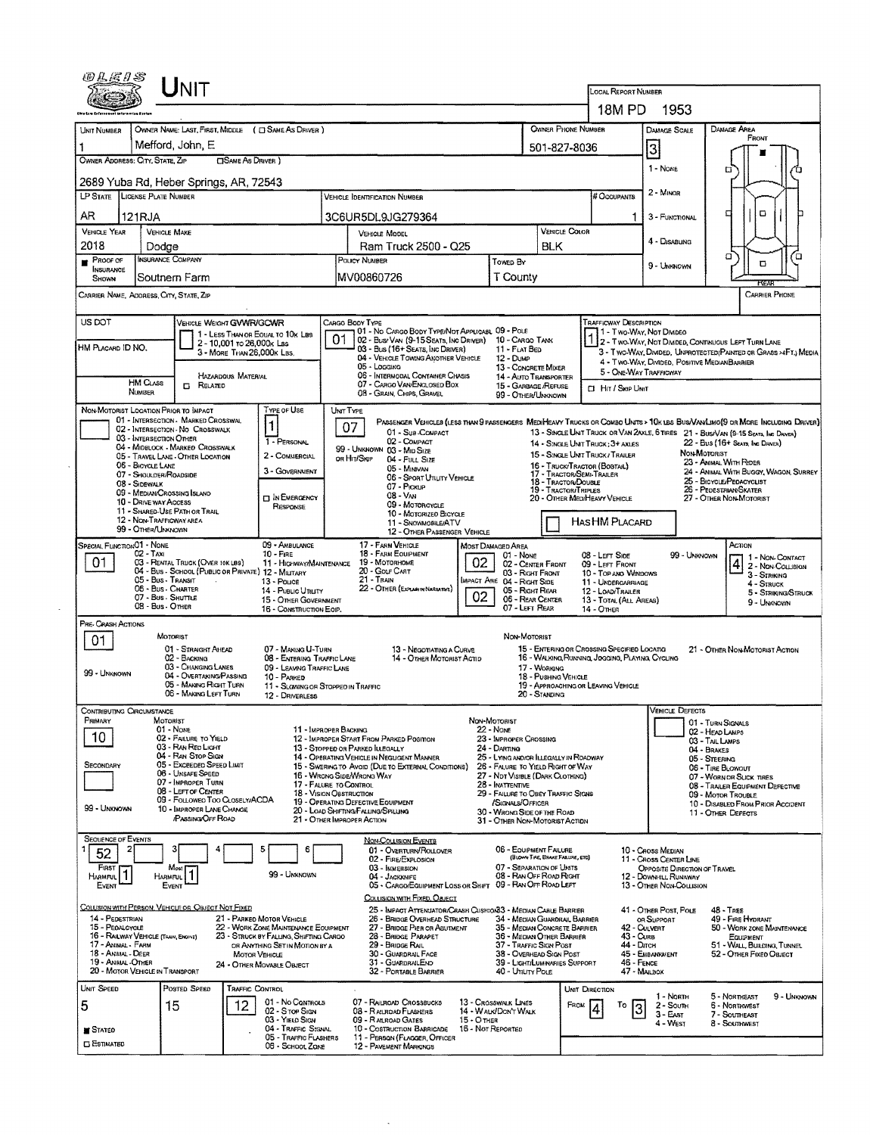|                                                                                                  | $J_{\mathsf{NIT}}$                                                                                                                                              |                                                                          |                                                                                                                                 |                                                                                                                     |                                                               |                                                                                                |                                                                                                        |                                                                                                                               |  |  |
|--------------------------------------------------------------------------------------------------|-----------------------------------------------------------------------------------------------------------------------------------------------------------------|--------------------------------------------------------------------------|---------------------------------------------------------------------------------------------------------------------------------|---------------------------------------------------------------------------------------------------------------------|---------------------------------------------------------------|------------------------------------------------------------------------------------------------|--------------------------------------------------------------------------------------------------------|-------------------------------------------------------------------------------------------------------------------------------|--|--|
|                                                                                                  |                                                                                                                                                                 |                                                                          |                                                                                                                                 |                                                                                                                     |                                                               | LOCAL REPORT NUMBER<br>18M PD                                                                  | 1953                                                                                                   |                                                                                                                               |  |  |
| <b>OWNER PHONE NUMBER</b><br>OWNER NAME: LAST, FIRST, MIDDLE ( C SAME AS DRIVER )<br>UNIT NUMBER |                                                                                                                                                                 |                                                                          |                                                                                                                                 |                                                                                                                     |                                                               |                                                                                                | DANAGE SCALE                                                                                           | <b>DAMAGE AREA</b>                                                                                                            |  |  |
|                                                                                                  | Mefford, John, E                                                                                                                                                |                                                                          |                                                                                                                                 |                                                                                                                     |                                                               |                                                                                                |                                                                                                        | FRONT                                                                                                                         |  |  |
| OWNER ADDRESS: CITY, STATE, ZIP                                                                  |                                                                                                                                                                 | <b>CISAME AS DRIVER</b> )                                                |                                                                                                                                 | 501-827-8036                                                                                                        |                                                               |                                                                                                |                                                                                                        | а                                                                                                                             |  |  |
|                                                                                                  | 2689 Yuba Rd, Heber Springs, AR, 72543                                                                                                                          |                                                                          |                                                                                                                                 |                                                                                                                     |                                                               |                                                                                                | 1 - NONE                                                                                               |                                                                                                                               |  |  |
| LP STATE LICENSE PLATE NUMBER                                                                    |                                                                                                                                                                 |                                                                          | <b>VEHICLE IDENTIFICATION NUMBER</b>                                                                                            |                                                                                                                     |                                                               | # Occupants                                                                                    | 2 - MINOR                                                                                              |                                                                                                                               |  |  |
| AR.                                                                                              | 121RJA                                                                                                                                                          |                                                                          | 3C6UR5DL9JG279364                                                                                                               |                                                                                                                     |                                                               | 1                                                                                              | 3 - FUNCTIONAL                                                                                         | O<br>о                                                                                                                        |  |  |
| <b>VEHICLE YEAR</b><br>2018                                                                      | <b>VEHICLE MAKE</b><br>Dodae                                                                                                                                    |                                                                          | <b>VEHICLE MODEL</b><br>Ram Truck 2500 - Q25                                                                                    |                                                                                                                     | <b>BLK</b>                                                    | <b>VEHICLE COLOR</b>                                                                           | 4 - Disabung                                                                                           |                                                                                                                               |  |  |
| PROOF OF                                                                                         | <b>INSURANCE COMPANY</b>                                                                                                                                        |                                                                          | POLICY NUMBER                                                                                                                   | Towed By                                                                                                            |                                                               |                                                                                                | 9 - Unexnown                                                                                           | ′α<br>σ<br>O                                                                                                                  |  |  |
| <b>INSURANCE</b><br>Soutnern Farm<br>SHOWN                                                       |                                                                                                                                                                 |                                                                          | MV00860726                                                                                                                      | T County                                                                                                            |                                                               |                                                                                                |                                                                                                        | res                                                                                                                           |  |  |
|                                                                                                  | CARRIER NAME, ADDRESS, CITY, STATE, ZIP                                                                                                                         |                                                                          |                                                                                                                                 |                                                                                                                     |                                                               |                                                                                                |                                                                                                        | <b>CARRIER PHONE</b>                                                                                                          |  |  |
| US DOT                                                                                           |                                                                                                                                                                 | VEHICLE WEIGHT GVWR/GCWR                                                 | CARGO BODY TYPE                                                                                                                 |                                                                                                                     |                                                               | <b>TRAFFICWAY DESCRIPTION</b>                                                                  |                                                                                                        |                                                                                                                               |  |  |
| HM PLACARD ID NO.                                                                                |                                                                                                                                                                 | 1 - LESS THAN OR EQUAL TO 10K LBS<br>2 - 10,001 то 26,000к Las           | 01 - No CARGO BODY TYPE/NOT APPLICABL 09 - POLE<br>01<br>02 - Busi VAN (9-15 SEATS, INC DRIVER) 10 - CARGO TANK                 |                                                                                                                     |                                                               | 1 - Two-Way, Not Divideo                                                                       |                                                                                                        | 1 2 - Two-Way, Not Dimded, Continuous LEFT TURN LANE                                                                          |  |  |
|                                                                                                  |                                                                                                                                                                 | 3 - MORE THAN 26,000K LBS.                                               | 03 - Bus (16+ Seats, INC DRIVER)<br>04 - VEHICLE TOWING ANOTHER VEHICLE<br>05 - Logging                                         | 11 - FLAT BED<br>12 - Dump                                                                                          | 13 - CONCRETE MIXER                                           |                                                                                                | 4 - Two-Way, Divideo, Positive MedianBarrier                                                           | 3 - Two-WAY, DIVIDED, UNPROTECTED (PAINTED OR GRASS >4FT.) MEDIA                                                              |  |  |
|                                                                                                  | HM CLASS<br><b>CI RELATED</b>                                                                                                                                   | <b>HAZARDOUS MATERIAL</b>                                                | 06 - INTERMODAL CONTAINER CHASIS<br>07 - CARGO VAN ENGLOSED BOX                                                                 |                                                                                                                     | 14 - AUTO TRANSPORTER<br>15 - GARBAGE /REFUSE                 |                                                                                                | 5 - ONE-WAY TRAFFICWAY                                                                                 |                                                                                                                               |  |  |
|                                                                                                  | NUMBER                                                                                                                                                          |                                                                          | 08 - GRAIN, CHIPS, GRAVEL                                                                                                       |                                                                                                                     | 99 - OTHER/UNKNOWN                                            | CI HIT / SKIP UNIT                                                                             |                                                                                                        |                                                                                                                               |  |  |
|                                                                                                  | NON-MOTORIST LOCATION PRIOR TO IMPACT<br>01 - INTERSECTION - MARKED CROSSWAL                                                                                    | Type of Use<br>$\mathbf{1}$                                              | UNIT TYPE<br>07                                                                                                                 |                                                                                                                     |                                                               |                                                                                                |                                                                                                        | PASSENGER VEHICLEB (LESS THAN 9 PASSENGERS MEDIHEAVY TRUCKS OR COMBO UNITS > 10K LBS BUS/VAN/LIMO(9 OR MORE INCLUDING DRIVER) |  |  |
|                                                                                                  | 02 - INTERSECTION - NO CROSSWALK<br>03 - INTERSECTION OTHER<br>04 - MIDBLOCK - MARKED CROSSWALK                                                                 | 1 - PERSONAL                                                             | 01 - Sub-COMPACT<br>02 - COMPACT                                                                                                |                                                                                                                     |                                                               | 14 - SINGLE UNIT TRUCK; 3+ AXLES                                                               |                                                                                                        | 13 - SINGLE UNIT TRUCK OR VAN 2AXLE, 6 TIRES 21 - BUSIVAN (9-15 SEATS, INC DRIVER)<br>22 - Bus (16+ Seats, Inc Davis)         |  |  |
|                                                                                                  | 05 - TRAVEL LANE - OTHER LOCATION<br>06 - BICYCLE LANE                                                                                                          | 2 - COMMERCIAL                                                           | 99 - UNKNOWN 03 - MID SIZE<br>OR HIT/SKIP<br>04 - FULL SIZE                                                                     |                                                                                                                     |                                                               | 15 - SINGLE UNIT TRUCK/TRAILER<br>16 - TRUCK/TRACTOR (BOBTAIL)                                 |                                                                                                        | NON MOTORIST<br>23 - AMMAL WITH RIDER                                                                                         |  |  |
|                                                                                                  | 07 - SHOULDER/ROADSIDE<br>08 - Sidewalk                                                                                                                         | 3 - GOVERNMENT                                                           | 05 - Minavan<br>06 - SPORT UTILITY VEHICLE                                                                                      |                                                                                                                     |                                                               | 17 - TRACTOR/SEMI-TRAILER<br>18 - Tractor/Double                                               |                                                                                                        | 24 - ANIMAL WITH BUGGY, WAGON, SURREY<br>25 - BICYCLE/PEDACYCLIST                                                             |  |  |
|                                                                                                  | 07 - Pickup<br>19 - TRACTOR/TRIPLES<br>09 - MEDIAN/CROSSING ISLAND<br>08 - VAN<br><b>DIN EMERGENCY</b><br>20 - OTHER MEDIHEAVY VEHICLE<br>10 - DRIVE WAY ACCESS |                                                                          |                                                                                                                                 |                                                                                                                     |                                                               |                                                                                                |                                                                                                        | 26 - PEDESTRIAN/SKATER<br>27 - OTHER NON-MOTORIST                                                                             |  |  |
|                                                                                                  | 09 - MOTORCYCLE<br>RESPONSE<br>11 - SHARED-USE PATH OR TRAIL<br>10 - MOTORIZED BICYCLE<br>12 - NON-TRAFFICWAY AREA<br>HASHM PLACARD<br>11 - SNOVANOBILE/ATV     |                                                                          |                                                                                                                                 |                                                                                                                     |                                                               |                                                                                                |                                                                                                        |                                                                                                                               |  |  |
|                                                                                                  | 99 - OTHER/UNKNOWN                                                                                                                                              |                                                                          | 12 - OTHER PASSENGER VEHICLE                                                                                                    |                                                                                                                     |                                                               |                                                                                                |                                                                                                        |                                                                                                                               |  |  |
| SPECIAL FUNCTION 01 - NONE<br>01                                                                 | 02 - Taxi<br>03 - RENTAL TRUCK (OVER 10KLBS)                                                                                                                    | 09 - AMBULANCE<br>$10 - F_{IRE}$                                         | 17 - FARM VEHICLE<br>18 - FARM EQUIPMENT<br>19 - Мотокноме                                                                      | Most Damaged Area                                                                                                   | 01 - None                                                     | 08 - LEFT SIDE                                                                                 | 99 - UNKNOWN                                                                                           | ACTION<br>1 - NON-CONTACT<br>$\overline{4}$<br>2 - Non-Collision                                                              |  |  |
|                                                                                                  | 04 - Bus - SCHOOL (PUBLIC OR PRIVATE) 12 - MILITARY<br>05 - Bus - Transit                                                                                       | 11 - HIGHWAY/MAINTENANCE                                                 | 20 - GOLF CART<br>21 - Train                                                                                                    | 02<br>09 - LEFT FRONT<br>02 - CENTER FRONT<br>03 - Right Front<br>10 - TOP ANO WINDOWS<br>MPACT ARE 04 - RIGHT SIDE |                                                               |                                                                                                |                                                                                                        |                                                                                                                               |  |  |
|                                                                                                  | 06 - Bus - Charter<br>07 - Bus - SHUTTLE                                                                                                                        | 13 - Pouce<br>14 - Pusuc Unury<br>15 - OTHER GOVERNMENT                  | 22 - OTHER (EXPLAN IN NARRATIVE)                                                                                                | 02 <sub>1</sub>                                                                                                     | 05 - Right Rear<br>06 - REAR CENTER                           |                                                                                                | 11 - UNDERGARRIAGE<br>4 - Struck<br>12 - LOAD/TRAILER<br>5 - STRIKING/STRUCK<br>13 - TOTAL (ALL AREAS) |                                                                                                                               |  |  |
| 08 - Bus - OTHER<br>07 - LEFT REAR<br>16 - CONSTRUCTION EOIP.<br>14 - Отнея                      |                                                                                                                                                                 |                                                                          |                                                                                                                                 |                                                                                                                     |                                                               |                                                                                                | 9 - Unknown                                                                                            |                                                                                                                               |  |  |
| PRE- CRASH ACTIONS                                                                               | MOTORIST                                                                                                                                                        |                                                                          |                                                                                                                                 |                                                                                                                     | NON-MOTORIST                                                  |                                                                                                |                                                                                                        |                                                                                                                               |  |  |
| 01                                                                                               | 01 - STRAIGHT AHEAD<br>02 - BACKING                                                                                                                             | 07 - MAKING U-TURN<br>08 - ENTERING TRAFFIC LANE                         | 13 - Negotiating a Curve<br>14 - OTHER MOTORIST ACTID                                                                           |                                                                                                                     |                                                               | 15 - ENTERING OR CROSSING SPECIFIED LOCATIG<br>16 - WALKING RUNNING, JOGGING, PLAYING, CYCLING |                                                                                                        | 21 - OTHER NON-MOTORIST ACTION                                                                                                |  |  |
| 99 - UNKNOWN                                                                                     | 03 - CHANGING LANES<br>04 - OVERTAKING/PASSING                                                                                                                  | 09 - LEAVING TRAFFIC LANE<br>10 - PARKED                                 |                                                                                                                                 |                                                                                                                     | 17 - WORKING<br>18 - Pushing Vehicle                          |                                                                                                |                                                                                                        |                                                                                                                               |  |  |
|                                                                                                  | 05 - MAKING RIGHT TURN<br>06 - MAKING LEFT TURN                                                                                                                 | 12 - DRIVERLESS                                                          | 11 - SLOWING OR STOPPED IN TRAFFIC                                                                                              |                                                                                                                     | 20 - STANDING                                                 | 19 - APPROACHING OR LEAVING VEHICLE                                                            |                                                                                                        |                                                                                                                               |  |  |
| CONTRIBUTING CIRCUMSTANCE                                                                        |                                                                                                                                                                 |                                                                          |                                                                                                                                 |                                                                                                                     |                                                               |                                                                                                | Vehicle Defects                                                                                        |                                                                                                                               |  |  |
| PRIMARY                                                                                          | MOTORIST<br>01 - None                                                                                                                                           |                                                                          | 11 - IMPROPER BACKING                                                                                                           | NON-MOTORIST<br>22 - None                                                                                           |                                                               |                                                                                                |                                                                                                        | 01 - TURN SIGNALS<br>02 - HEAD LAMPS                                                                                          |  |  |
| 10                                                                                               | 02 - FAILURE TO YIELD<br>03 - RAN RED LIGHT                                                                                                                     |                                                                          | 12 - IMPROPER START FROM PARKED POSITION<br>13 - STOPPED OR PARKED ILLEGALLY                                                    | 23 - IMPROPER CROSSING<br>24 - DARTING                                                                              |                                                               |                                                                                                |                                                                                                        | 03 - TAIL LAMPS<br>04 - BRAKES                                                                                                |  |  |
| 04 - RAN STOP SIGN<br>05 - Exceeped Speed Limit<br>SECONDARY                                     |                                                                                                                                                                 |                                                                          | 14 - OPERATING VEHICLE IN NEGLIGENT MANNER<br>15 - Swering to Avoid (Due to External Conditions)                                | 25 - LYING AND/OR ILLEGALLY IN ROADWAY<br>26 - FALURE TO YIELD RIGHT OF WAY                                         |                                                               |                                                                                                | 05 - STEERING<br>06 - TIRE BLOWOUT                                                                     |                                                                                                                               |  |  |
| 06 - UNSAFE SPEED<br>07 - IMPROPER TURN<br>08 - LEFT OF CENTER                                   |                                                                                                                                                                 |                                                                          | 16 - WRONG SIDE WRONG WAY<br>17 - FALURE TO CONTROL                                                                             | 27 - NDT VISIBLE (DARK CLOTHING)<br>28 - Inattentive                                                                |                                                               |                                                                                                | 07 - WORN OR SLICK TIRES<br>08 - TRAILER EQUIPMENT DEFECTIVE                                           |                                                                                                                               |  |  |
| 09 - FOLLOWED TOO CLOSELY/ACDA<br>99 - Unknown<br>10 - IMPROPER LANE CHANGE                      |                                                                                                                                                                 |                                                                          | 18 - VISION OBSTRUCTION<br>19 - OPERATING DEFECTIVE EQUIPMENT<br>20 - LOAD SHIFTING/FALLING/SPILLING                            | 29 - FAILURE TO OBEY TRAFFIC SIGNS<br>/Signals/Officer                                                              |                                                               | 09 - MOTOR TROUBLE<br>10 - DISABLED FROM PRIOR ACCIDENT                                        |                                                                                                        |                                                                                                                               |  |  |
|                                                                                                  | <b>PASSING/OFF ROAD</b>                                                                                                                                         |                                                                          | 21 - OTHER IMPROPER ACTION                                                                                                      |                                                                                                                     | 30 - WRONG SIDE OF THE ROAD<br>31 - Other Non-Motorist Action |                                                                                                |                                                                                                        | 11 - OTHER DEFECTS                                                                                                            |  |  |
| <b>SEQUENCE OF EVENTS</b><br>2                                                                   |                                                                                                                                                                 | 5<br>6                                                                   | <b>NON-COLLISION EVENTS</b><br>01 - OVERTURN/ROLLOVER                                                                           |                                                                                                                     | 06 - EQUIPMENT FAILURE                                        |                                                                                                | 10 - Cross Median                                                                                      |                                                                                                                               |  |  |
| 52<br>FIRST                                                                                      | Most                                                                                                                                                            |                                                                          | 02 - FIRE/EXPLOSION<br>03 - IMMERSION                                                                                           |                                                                                                                     | (BLOWN TIRE, BRAKE FAILURE, ETC)<br>07 - SEPARATION OF UNITS  |                                                                                                | 11 - Cross CENTER LINE<br>OPPOSITE DIRECTION OF TRAVEL                                                 |                                                                                                                               |  |  |
| HARMFUL <sup>1</sup><br>EVENT                                                                    | HARMFUL <sup>1</sup><br>EVENT                                                                                                                                   | 99 - Unknown                                                             | 04 - JACKKNIFE<br>05 - CARGO/EQUIPMENT LOSS OR SHIFT 09 - RAN OFF ROAD LEFT                                                     |                                                                                                                     | 08 - RAN OFF ROAD RIGHT                                       |                                                                                                | 12 - DOWNHILL RUNAWAY<br>13 - OTHER NON-COLLISION                                                      |                                                                                                                               |  |  |
|                                                                                                  | COLUSION WITH PERSON, VEHICLE OR OBJECT NOT FIXED                                                                                                               |                                                                          | COLLISION WITH FIXED, OBJECT                                                                                                    |                                                                                                                     |                                                               |                                                                                                |                                                                                                        |                                                                                                                               |  |  |
| 14 - PEDESTRIAN<br>15 - PEDALCYCLE                                                               |                                                                                                                                                                 | 21 - PARKED MOTOR VEHICLE<br>22 - WORK ZONE MAINTENANCE EQUIPMENT        | 25 - IMPACT ATTENUATOR/CRASH CUSHION33 - MEDIAN CABLE BARRIER<br>26 - BRIDGE OVERHEAD STRUCTURE<br>27 - BRIDGE PIER OR ABUTMENT |                                                                                                                     | 34 - MEDIAN GUARDRAIL BARRIER<br>35 - MEDIAN CONCRETE BARRIER |                                                                                                | 41 - OTHER POST, POLE<br>OR SUPPORT<br>42 - Culvert                                                    | 48 - TREE<br>49 - Fire Hydrant<br>50 - WORK ZONE MAINTENANCE                                                                  |  |  |
| 17 - Animal - Farm                                                                               | 16 - RAILWAY VEHICLE (TRAIN, ENGINE)                                                                                                                            | 23 - STRUCK BY FALLING, SHIFTING CARGO<br>OR ANYTHING SET IN MOTION BY A | 28 - BRIDGE PARAPET<br>29 - Bridge Rail                                                                                         |                                                                                                                     | 36 - MEDIAN OTHER BARRIER<br>37 - TRAFFIC SIGN POST           | 43 - Curs<br>44 - Олсн                                                                         |                                                                                                        | EQUIPMENT<br>51 - WALL BUILDING, TUNNEL                                                                                       |  |  |
| 18 - Animal - Deer<br>19 - ANIMAL - OTHER                                                        |                                                                                                                                                                 | <b>MOTOR VEHICLE</b><br>24 - OTHER MOVABLE OBJECT                        | 30 - GUARDRAIL FACE<br>31 - GUARDRAILEND                                                                                        |                                                                                                                     | 38 - OVERHEAD SIGN POST<br>39 - LIGHT/LUMINARIES SUPPORT      |                                                                                                | 45 - EMBANKMENT<br>46 - FENCE                                                                          | 52 - OTHER FIXED OBJECT                                                                                                       |  |  |
|                                                                                                  | 20 - MOTOR VEHICLE IN TRANSPORT                                                                                                                                 |                                                                          | 32 - PORTABLE BARRIER                                                                                                           |                                                                                                                     | 40 - Unury Pole                                               |                                                                                                | 47 - Mailbox                                                                                           |                                                                                                                               |  |  |
| Unit Speed<br>5                                                                                  | Posted Speed<br>15                                                                                                                                              | <b>TRAFFIC CONTROL</b><br>01 - No Controls<br>12                         | 07 - RAILROAD CROSSBUCKS                                                                                                        | 13 - Crosswalk Lines                                                                                                |                                                               | Unit Direction<br>FROM                                                                         | 1 - North<br>2 - South                                                                                 | 5 - NORTHEAST<br>9 - Unknown<br>6 - NORTHWEST                                                                                 |  |  |
|                                                                                                  |                                                                                                                                                                 | 02 - S TOP SIGN<br>03 - YIELD SIGN                                       | 08 - RAILROAD FLASHERS<br>09 - RALROAD GATES                                                                                    | 14 - WALK/DON'T WALK<br>$15 - O$ then                                                                               |                                                               | $\frac{1}{3}$                                                                                  | $3 - EAST$<br>4 - West                                                                                 | 7 - SOUTHEAST<br>8 - Southwest                                                                                                |  |  |
| STATED<br><b>ESTIMATED</b>                                                                       |                                                                                                                                                                 | 04 - TRAFFIC SIGNAL<br>05 - TRAFFIC FLASHERS                             | 10 - Costruction Barricade<br>11 - PERSON (FLAGGER, OFFICER                                                                     | 16 - Not Reported                                                                                                   |                                                               |                                                                                                |                                                                                                        |                                                                                                                               |  |  |
|                                                                                                  |                                                                                                                                                                 | 06 - SCHOOL ZONE                                                         | 12 - PAVEMENT MARKINGS                                                                                                          |                                                                                                                     |                                                               |                                                                                                |                                                                                                        |                                                                                                                               |  |  |

 $\bar{\phantom{a}}$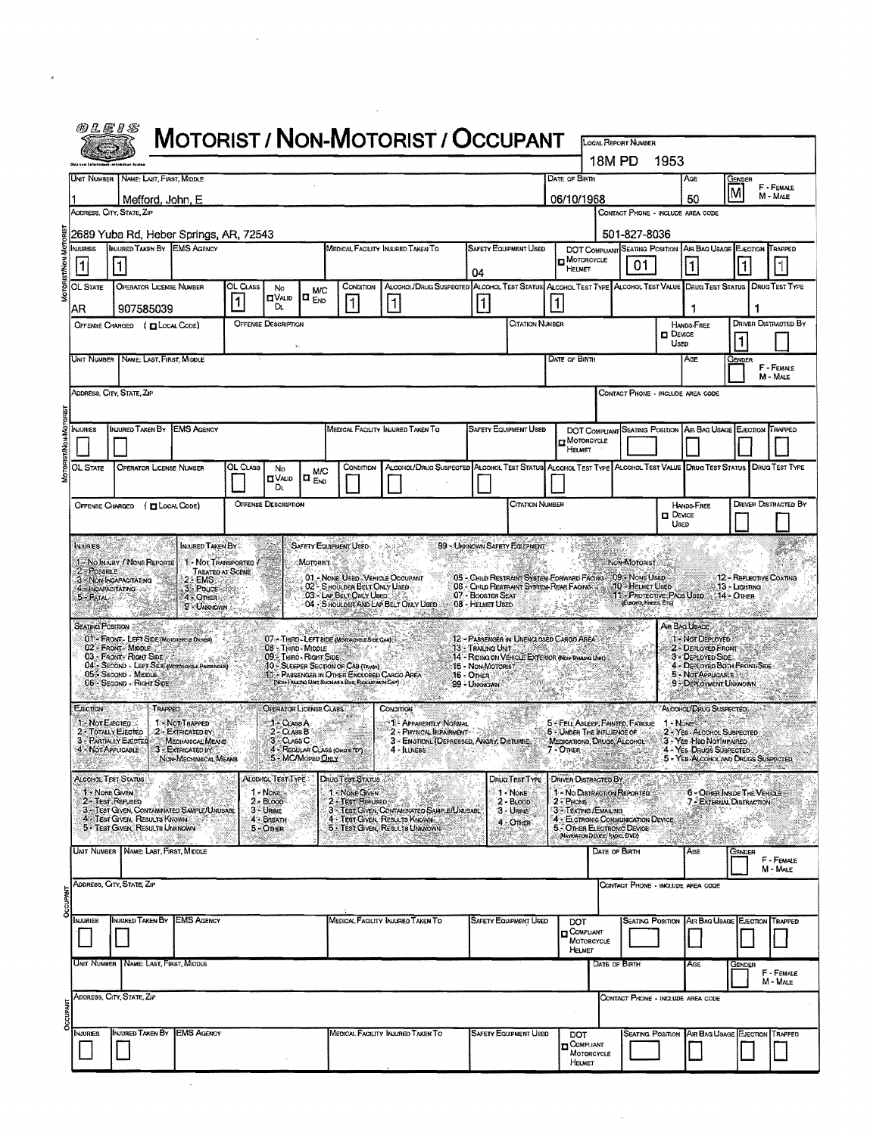|                 | @LE1S                                                       |                                                                                                  |                                                                |                       |                                                |                                 |                                                                                                  | MOTORIST / NON-MOTORIST / OCCUPANT                                                                              |                                                        |                                                             |               |                                                                                                 | <b>LOCAL REPORT NUMBER</b>                          |                         |                                                                         |               |   |                              |
|-----------------|-------------------------------------------------------------|--------------------------------------------------------------------------------------------------|----------------------------------------------------------------|-----------------------|------------------------------------------------|---------------------------------|--------------------------------------------------------------------------------------------------|-----------------------------------------------------------------------------------------------------------------|--------------------------------------------------------|-------------------------------------------------------------|---------------|-------------------------------------------------------------------------------------------------|-----------------------------------------------------|-------------------------|-------------------------------------------------------------------------|---------------|---|------------------------------|
|                 |                                                             |                                                                                                  |                                                                |                       |                                                |                                 |                                                                                                  |                                                                                                                 |                                                        |                                                             |               | 18M PD                                                                                          |                                                     | 1953                    |                                                                         |               |   |                              |
|                 |                                                             | UNIT NUMBER NAME: LAST, FIRST MIDDLE                                                             |                                                                |                       |                                                |                                 |                                                                                                  |                                                                                                                 |                                                        |                                                             | DATE OF BIRTH |                                                                                                 |                                                     |                         | AGE                                                                     | GENDER<br>Įм  |   | F - FEMALE<br>$M \cdot$ Male |
|                 | 06/10/1968<br>Mefford, John, E<br>ADDRESS, CITY, STATE, ZIP |                                                                                                  |                                                                |                       |                                                |                                 |                                                                                                  |                                                                                                                 |                                                        | 50<br>CONTACT PHONE - INCLUDE AREA CODE                     |               |                                                                                                 |                                                     |                         |                                                                         |               |   |                              |
|                 | NJURIES                                                     | 2689 Yuba Rd, Heber Springs, AR, 72543<br>INJURED TAKEN BY EMS AGENCY                            |                                                                |                       |                                                |                                 |                                                                                                  | MEDICAL FACILITY INJURED TAKEN TO                                                                               |                                                        | <b>SAFETY EQUIPMENT USED</b>                                |               | DOT COMPLIANT SEATING POSITION                                                                  | 501-827-8036                                        |                         | AIR BAG USAGE EJECTION                                                  |               |   | TRAPPED                      |
|                 |                                                             |                                                                                                  |                                                                |                       |                                                |                                 |                                                                                                  |                                                                                                                 | 04                                                     |                                                             |               | <b>D</b> MOTORCYCLE<br>HELMET                                                                   | 01                                                  |                         | $\mathbf{1}$                                                            |               |   |                              |
|                 | OL State                                                    | <b>OPERATOR LICENSE NUMBER</b>                                                                   |                                                                | OL CLASS<br>$\vert$ 1 | No<br><b>CIVAUD</b>                            | <b>M/C</b><br>lo <sub>End</sub> | CONDITION                                                                                        | ALCOHOL/DRUG SUSPECTED ALCOHOL TEST STATUS ALCOHOL TEST TYPE ALCOHOL TEST VALUE DRUG TEST STATUS DRUG TEST TYPE |                                                        |                                                             |               |                                                                                                 |                                                     |                         |                                                                         |               |   |                              |
|                 | AR                                                          | 907585039<br>OFFENSE CHARGED ( Q LOCAL CODE)                                                     |                                                                |                       | D.<br><b>OFFENSE DESCRIPTION</b>               |                                 | $\vert$ 1                                                                                        | $\mathbf{1}$                                                                                                    | 1                                                      | Citation Number                                             | 1             |                                                                                                 |                                                     |                         | 1<br>HANDS-FREE                                                         |               | 1 | <b>DRIVER DISTRACTED BY</b>  |
|                 |                                                             |                                                                                                  |                                                                |                       |                                                |                                 |                                                                                                  |                                                                                                                 |                                                        |                                                             |               |                                                                                                 |                                                     | <b>O</b> DEVICE<br>USED |                                                                         | 1             |   |                              |
|                 | Unit Number                                                 | NAME: LAST, FIRST, MIDDLE                                                                        |                                                                |                       |                                                |                                 |                                                                                                  |                                                                                                                 |                                                        |                                                             | DATE OF BIRTH |                                                                                                 |                                                     |                         | AGE                                                                     | Gender        |   | F - FEMALE<br>M - MALE       |
|                 |                                                             | ADDRESS, CITY, STATE, ZIP                                                                        |                                                                |                       |                                                |                                 |                                                                                                  |                                                                                                                 |                                                        |                                                             |               |                                                                                                 |                                                     |                         | CONTACT PHONE - INCLUDE AREA CODE                                       |               |   |                              |
|                 | <b>NJURIES</b>                                              | INJURED TAKEN BY EMS AGENCY                                                                      |                                                                |                       |                                                |                                 |                                                                                                  | MEDICAL FACILITY INJURED TAKEN TO                                                                               |                                                        | <b>SAFETY EQUIPMENT USED</b>                                |               | DOT COMPLIANT SEATING POSTION AIR BAG USAGE EJECTION                                            |                                                     |                         |                                                                         |               |   | TRAPPED                      |
|                 |                                                             |                                                                                                  |                                                                |                       |                                                |                                 |                                                                                                  |                                                                                                                 |                                                        |                                                             |               | MOTORCYCLE<br>Намет                                                                             |                                                     |                         |                                                                         |               |   |                              |
|                 | OL State                                                    | <b>OPERATOR LICENSE NUMBER</b>                                                                   |                                                                | OL CLASS              | No<br><b>O</b> VALID                           | M/C<br>$\Box$ $_{END}$          | Сомогтом                                                                                         | ALCOHOL/DRUG SUSPECTED ALCOHOL TEST STATUS ALCOHOL TEST TYPE ALCOHOL TEST VALUE DRUG TEST STATUS DRUG TEST TYPE |                                                        |                                                             |               |                                                                                                 |                                                     |                         |                                                                         |               |   |                              |
|                 | OFFENSE CHARGED                                             |                                                                                                  | (DLOCAL CODE)                                                  |                       | Dι<br><b>OFFENSE DESCRIPTION</b>               |                                 |                                                                                                  |                                                                                                                 |                                                        | <b>CITATION NUMBER</b>                                      |               |                                                                                                 |                                                     |                         | HANDS-FREE                                                              |               |   | <b>DRIVER DISTRACTED BY</b>  |
|                 |                                                             |                                                                                                  |                                                                |                       |                                                |                                 |                                                                                                  |                                                                                                                 |                                                        |                                                             |               |                                                                                                 |                                                     | <b>DEVICE</b><br>USED   |                                                                         |               |   |                              |
|                 | <b>INJURIES</b>                                             |                                                                                                  | INJURED TAKEN BY                                               |                       |                                                |                                 | SAFETY EQUIPMENT USED                                                                            |                                                                                                                 | 99 - UNKNOWN SAFETY EQUIPMENT                          |                                                             |               |                                                                                                 |                                                     |                         |                                                                         |               |   |                              |
|                 | $2 - P$ OSSIBLE                                             | 1 - No Injury / None Reporte<br>3 NON-INCAPACITATING                                             | 1 - NOT TRANSPORTED<br><b>TREATED AT SCENE</b><br>$2.5$ EMS    |                       |                                                | Motorist                        | 02 <sup>1</sup> - SHOULDER BELT ONLY USED                                                        | 01 - NONE USED - VEHICLE OCCUPANT                                                                               |                                                        | 05 - CHILD RESTRAINT SYSTEM-FORWARD FACING : 09 - NONE USED |               |                                                                                                 | NON-MOTORIST<br>10 - HELMET USED                    |                         |                                                                         | 13 - Lighting |   | 12 - REFLECTIVE COATING      |
|                 | 4 - INGAPACITATING<br>5 - FATAL                             |                                                                                                  | 3 Pouce<br>4 - OTHER<br>9 UNKNOWN                              |                       |                                                |                                 | 03 - LAP BELT ONLY USED                                                                          | 04 - SHOULDER AND LAP BELT ONLY USED                                                                            | 07 - BOOSTER SEAT<br>08 - HELMET USED                  | 06 - CHILD RESTRAINT SYSTEM REAR FACING                     |               |                                                                                                 | 11 - PROTECTIVE: PADS USED<br>(ELBOWS, KINEES, ETC) |                         |                                                                         | $14 -$ OTHER  |   |                              |
|                 |                                                             | SEATING POSITION<br>01 - FRONT - LEFT SIDE (MOTOROYCLE DRIVER)                                   |                                                                |                       |                                                |                                 | 07 - THIRD - LEFT BIDE (MOTOROVOLE SIDE CAR)                                                     |                                                                                                                 |                                                        | 12 - PASSENGER IN UNENCLOSED CARGO AREA                     |               |                                                                                                 |                                                     |                         | Ain Bag Usage<br>1 Not Deployed                                         |               |   |                              |
|                 |                                                             | 02 - FRONT - MIDDLE<br>03 - FRONT RIGHT SIDE<br>04 - SECOND - LEFT SIDE (MOTOROYOLE PASSORIER)   |                                                                |                       | 08 - Third - Middle<br>09 - THIRD - RIGHT SIDE |                                 | 10 - SLEEPER SECTION OF CAB (TRUCK)                                                              |                                                                                                                 | 13 TRAILING UNIT                                       | 14 - RIDING ON VEHICLE EXTERIOR (NON-TRANDA) UNT)           |               |                                                                                                 |                                                     |                         | 2 - DEFLOYED FRONT<br>3 - DEPLOYED SIDE<br>4 - DEPLOYED BOTH FRONT/SIDE |               |   |                              |
|                 |                                                             | 05 SECOND - MIDDLE<br>06 - Second - Richt Side                                                   |                                                                |                       |                                                |                                 | 11 - Passenger in Other Enclosed Cargo Area<br>(NON-TRALING UNIT SUCH AS A BUS, PLOKUE MITH CAP) |                                                                                                                 | <b>15 - NON-MOTORIST</b><br>16 - Other<br>99 - UNKNOWN |                                                             |               |                                                                                                 |                                                     |                         | 5 - NOT APPLICABLE<br>9 - DEPLOYMENT UNKNOWN                            |               |   |                              |
|                 | <b>EJECTION</b>                                             | TRAPPED                                                                                          |                                                                |                       | OPERATOR LICENSE CLASS                         |                                 |                                                                                                  | <b>CONDITION</b>                                                                                                |                                                        |                                                             |               |                                                                                                 |                                                     |                         | ALCOHOL/DRUG SUSPECTED.                                                 |               |   |                              |
|                 | 1 - Not Elected                                             | 2 - TOTALLY EJECTED<br>3 - PARTIALLY EJECTED                                                     | 1 NOT TRAPPED<br>2 - EXTRICATED BY:<br><b>MECHANICAL MEANS</b> |                       | 1 CLASS A<br>$2 - Class B$<br>3 - CLASS C      |                                 |                                                                                                  | 1: APPARENTLY NORMAL<br>2 - PHYSICAL INPAIRMENT<br>3 - EMOTIONL (DEPRESSED, ANGRY, DISTURBE-                    |                                                        |                                                             |               | 5 - FELL ASLEEP, FAINTED, FATIOUE<br>6 - UNDER THE INFLUENCE OF<br>MEDICATIONS, DRUGS, ALCOHOL: |                                                     | 1 - NONE                | 2 - YES - ALCOHOL SUSPECTED<br>3 - Yes Had NotImpaired                  |               |   |                              |
|                 |                                                             | 4 - NOT APPLICABLE                                                                               | 3 - EXTRICATED BY<br>NON-MECHANICAL MEANS                      |                       |                                                | 5 - MC/MOPED ONLY               | 4 - REGULAR CLASS (ORDSTD')                                                                      | $4 -$ <b>ILLNESS</b>                                                                                            |                                                        |                                                             | 7 - Other &   |                                                                                                 |                                                     |                         | 4 - Yes Drugs Suspected<br>5 - YES ALCOHOL AND DRUGS SUSPECTED          |               |   |                              |
|                 | <b>ALCOHOL TEST STATUS</b><br>1 - NONE GIVEN                |                                                                                                  |                                                                |                       | ALCOHOL TEST TYPE<br>$1$ $N$ on $\approx$      |                                 | <b>DRUG TEST STATUS</b><br>1 - NONE GIVEN                                                        |                                                                                                                 |                                                        | DRUG TEST TYPE<br>1 - NONE                                  |               | <b>DRIVER DISTRACTED BY A REPORT</b><br>1 - No Distriaction Reported.                           |                                                     |                         | 6 - OTHER INSIDE THE VEHICLE                                            |               |   |                              |
|                 |                                                             | 2 - Test Refused<br>3 - TEST GIVEN, CONTAMINATED SAMPLE/UNUSABL<br>4 - TEST GIVEN, RESULTS KNOWN |                                                                |                       | $2 - B$ LOOD<br>$3 -$ URINE<br>4 - BREATH      |                                 |                                                                                                  | 2 - Test Refused<br>3 - Test Given, Contamanted Sample/Unusari<br>4 - Test Given, Results Known                 |                                                        | $2 - B$ LOOD<br>3 - Unive                                   |               | 2 PHONE STEER<br>3 - TEXTING / EMAILING<br>4 - EL CTRONIC COMMUNICATION DEVICE                  |                                                     |                         | 7 - EXTERNAL DISTRACTION                                                |               |   |                              |
|                 |                                                             | 5 - Test Given, Results Unknown                                                                  |                                                                |                       | 5 - OTHER                                      |                                 | 32                                                                                               | 5 - TEST GIVEN, RESULTS UNKNOWN                                                                                 |                                                        | 4 - OTHER                                                   |               | 5 - OTHER ELECTRONC DEVICE<br>(NAVIOATION DEVICE) RADIO, DVD)                                   |                                                     |                         | talanggan y                                                             |               |   |                              |
|                 |                                                             | Unit Number   Name: Last, First, Middle                                                          |                                                                |                       |                                                |                                 |                                                                                                  |                                                                                                                 |                                                        |                                                             |               | Date of Birth                                                                                   |                                                     |                         | AGE                                                                     | Gender        |   | F - FEMALE<br>M - Male       |
|                 |                                                             | Address, City, State, Zip                                                                        |                                                                |                       |                                                |                                 |                                                                                                  |                                                                                                                 |                                                        |                                                             |               |                                                                                                 |                                                     |                         | CONTACT PHONE - INCLUDE AREA CODE                                       |               |   |                              |
| <b>DCCUPANT</b> | NJURIES                                                     | INJURED TAKEN BY                                                                                 | <b>EMS AGENCY</b>                                              |                       |                                                |                                 |                                                                                                  | MEDICAL FACILITY INJURED TAKEN TO                                                                               |                                                        | <b>SAFETY EQUIPMENT USED</b>                                |               | DOT                                                                                             | <b>SEATING POSITION</b>                             |                         | AIR BAG USAGE EJECTION                                                  |               |   | TRAPPED                      |
|                 |                                                             |                                                                                                  |                                                                |                       |                                                |                                 |                                                                                                  |                                                                                                                 |                                                        |                                                             |               | COMPLIANT<br>MOTORCYCLE<br>HELMET                                                               |                                                     |                         |                                                                         |               |   |                              |
|                 |                                                             | UNIT NUMBER   NAME: LAST, FIRST, MIDDLE                                                          |                                                                |                       |                                                |                                 |                                                                                                  |                                                                                                                 |                                                        |                                                             |               | DATE OF BIRTH                                                                                   |                                                     |                         | AGE                                                                     | Gender        |   | F - FEMALE                   |
|                 |                                                             | ADDRESS, CITY, STATE, ZIP                                                                        |                                                                |                       |                                                |                                 |                                                                                                  |                                                                                                                 |                                                        |                                                             |               |                                                                                                 |                                                     |                         | CONTACT PHONE - INCLUDE AREA CODE                                       |               |   | M - MALE                     |
| <b>OCCUPANT</b> |                                                             |                                                                                                  |                                                                |                       |                                                |                                 |                                                                                                  |                                                                                                                 |                                                        |                                                             |               |                                                                                                 |                                                     |                         |                                                                         |               |   |                              |
|                 | NJURIES                                                     | INJURED TAKEN BY EMS AGENCY                                                                      |                                                                |                       |                                                |                                 |                                                                                                  | MEDICAL FACILITY INJURED TAKEN TO                                                                               |                                                        | SAFETY EQUIPMENT USED                                       |               | DOT<br><b>COMPLIANT</b><br>MOTORCYCLE                                                           |                                                     |                         | SEATING POSITION AIR BAG USAGE EJECTION TRAPPED                         |               |   |                              |
|                 |                                                             |                                                                                                  |                                                                |                       |                                                |                                 |                                                                                                  |                                                                                                                 |                                                        |                                                             |               | HELMET                                                                                          |                                                     |                         |                                                                         |               |   |                              |

 $\hat{\boldsymbol{\beta}}$ 

 $\overline{\phantom{a}}$ 

 $\mathcal{L}^{\text{max}}_{\text{max}}$  and  $\mathcal{L}^{\text{max}}_{\text{max}}$